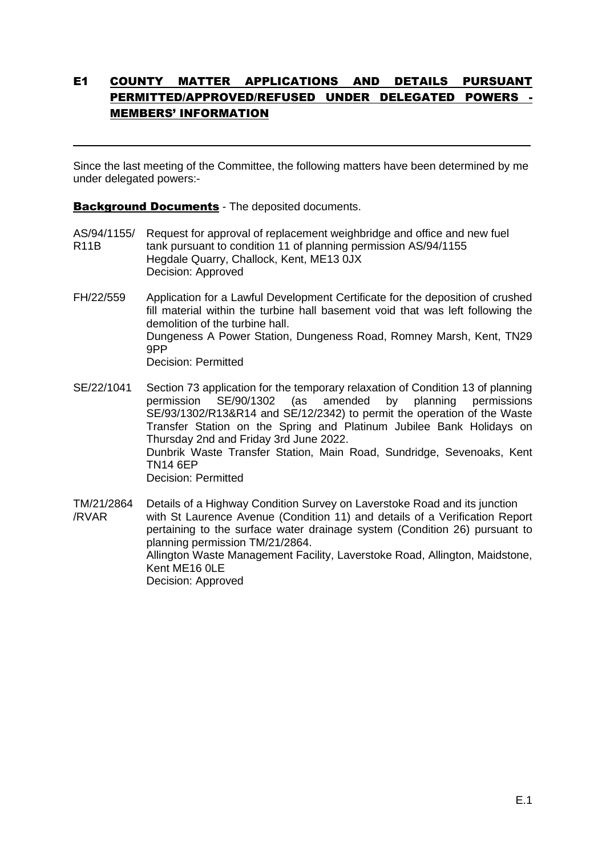## E1 COUNTY MATTER APPLICATIONS AND DETAILS PURSUANT PERMITTED/APPROVED/REFUSED UNDER DELEGATED POWERS - MEMBERS' INFORMATION

Since the last meeting of the Committee, the following matters have been determined by me under delegated powers:-

Background Documents - The deposited documents.

 $\overline{a}$ 

- AS/94/1155/ Request for approval of replacement weighbridge and office and new fuel R11B tank pursuant to condition 11 of planning permission AS/94/1155 Hegdale Quarry, Challock, Kent, ME13 0JX Decision: Approved
- FH/22/559 Application for a Lawful Development Certificate for the deposition of crushed fill material within the turbine hall basement void that was left following the demolition of the turbine hall. Dungeness A Power Station, Dungeness Road, Romney Marsh, Kent, TN29 9PP Decision: Permitted
- SE/22/1041 Section 73 application for the temporary relaxation of Condition 13 of planning permission SE/90/1302 (as amended by planning permissions SE/93/1302/R13&R14 and SE/12/2342) to permit the operation of the Waste Transfer Station on the Spring and Platinum Jubilee Bank Holidays on Thursday 2nd and Friday 3rd June 2022. Dunbrik Waste Transfer Station, Main Road, Sundridge, Sevenoaks, Kent TN14 6EP Decision: Permitted
- TM/21/2864 Details of a Highway Condition Survey on Laverstoke Road and its junction /RVAR with St Laurence Avenue (Condition 11) and details of a Verification Report pertaining to the surface water drainage system (Condition 26) pursuant to planning permission TM/21/2864. Allington Waste Management Facility, Laverstoke Road, Allington, Maidstone, Kent ME16 0LE Decision: Approved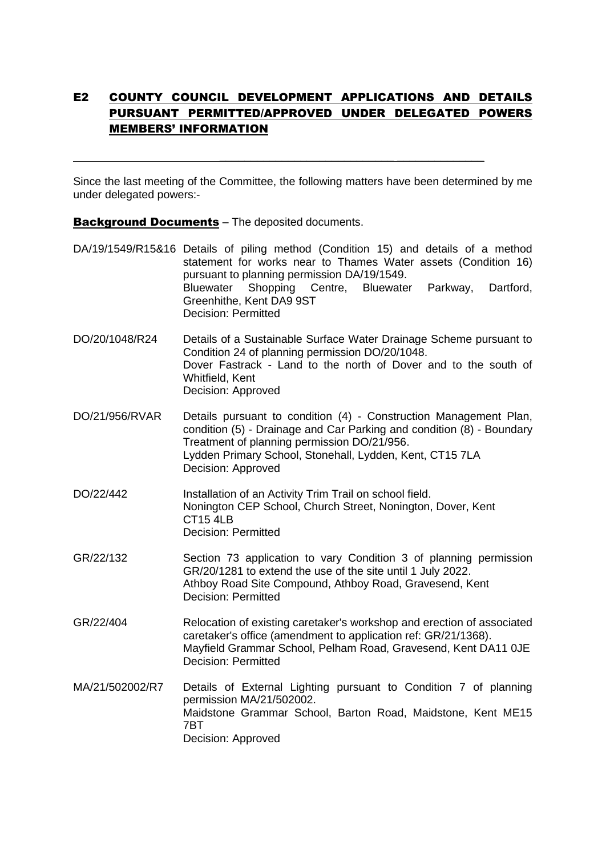### E2 COUNTY COUNCIL DEVELOPMENT APPLICATIONS AND DETAILS PURSUANT PERMITTED/APPROVED UNDER DELEGATED POWERS MEMBERS' INFORMATION

Since the last meeting of the Committee, the following matters have been determined by me under delegated powers:-

 $\_$ 

**Background Documents** – The deposited documents.

- DA/19/1549/R15&16 Details of piling method (Condition 15) and details of a method statement for works near to Thames Water assets (Condition 16) pursuant to planning permission DA/19/1549. Bluewater Shopping Centre, Bluewater Parkway, Dartford, Greenhithe, Kent DA9 9ST Decision: Permitted
- DO/20/1048/R24 Details of a Sustainable Surface Water Drainage Scheme pursuant to Condition 24 of planning permission DO/20/1048. Dover Fastrack - Land to the north of Dover and to the south of Whitfield, Kent Decision: Approved
- DO/21/956/RVAR Details pursuant to condition (4) Construction Management Plan, condition (5) - Drainage and Car Parking and condition (8) - Boundary Treatment of planning permission DO/21/956. Lydden Primary School, Stonehall, Lydden, Kent, CT15 7LA Decision: Approved
- DO/22/442 Installation of an Activity Trim Trail on school field. Nonington CEP School, Church Street, Nonington, Dover, Kent CT15 4LB Decision: Permitted
- GR/22/132 Section 73 application to vary Condition 3 of planning permission GR/20/1281 to extend the use of the site until 1 July 2022. Athboy Road Site Compound, Athboy Road, Gravesend, Kent Decision: Permitted
- GR/22/404 Relocation of existing caretaker's workshop and erection of associated caretaker's office (amendment to application ref: GR/21/1368). Mayfield Grammar School, Pelham Road, Gravesend, Kent DA11 0JE Decision: Permitted
- MA/21/502002/R7 Details of External Lighting pursuant to Condition 7 of planning permission MA/21/502002. Maidstone Grammar School, Barton Road, Maidstone, Kent ME15 7BT Decision: Approved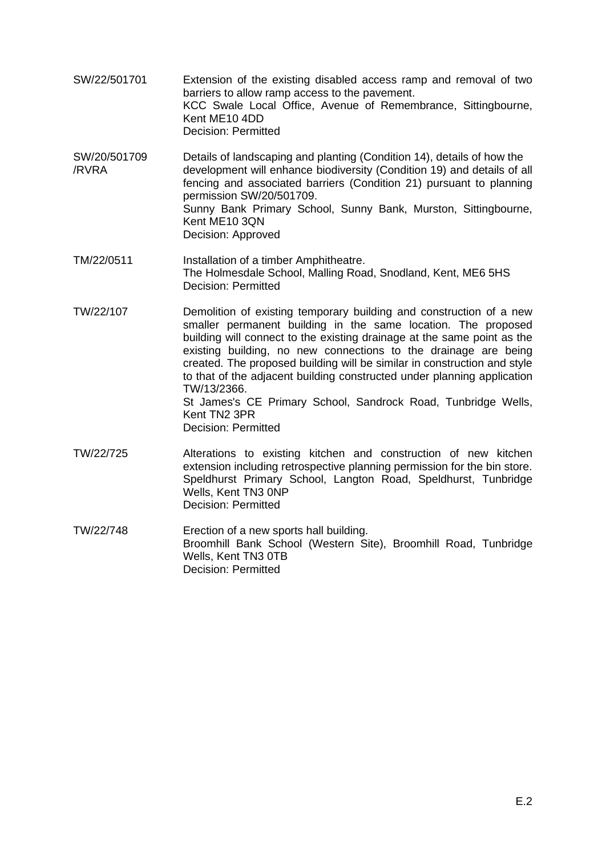- SW/22/501701 Extension of the existing disabled access ramp and removal of two barriers to allow ramp access to the pavement. KCC Swale Local Office, Avenue of Remembrance, Sittingbourne, Kent ME10 4DD Decision: Permitted
- SW/20/501709 Details of landscaping and planting (Condition 14), details of how the /RVRA development will enhance biodiversity (Condition 19) and details of all fencing and associated barriers (Condition 21) pursuant to planning permission SW/20/501709. Sunny Bank Primary School, Sunny Bank, Murston, Sittingbourne, Kent ME10 3QN Decision: Approved
- TM/22/0511 Installation of a timber Amphitheatre. The Holmesdale School, Malling Road, Snodland, Kent, ME6 5HS Decision: Permitted
- TW/22/107 Demolition of existing temporary building and construction of a new smaller permanent building in the same location. The proposed building will connect to the existing drainage at the same point as the existing building, no new connections to the drainage are being created. The proposed building will be similar in construction and style to that of the adjacent building constructed under planning application TW/13/2366. St James's CE Primary School, Sandrock Road, Tunbridge Wells, Kent TN2 3PR Decision: Permitted
- TW/22/725 Alterations to existing kitchen and construction of new kitchen extension including retrospective planning permission for the bin store. Speldhurst Primary School, Langton Road, Speldhurst, Tunbridge Wells, Kent TN3 0NP Decision: Permitted
- TW/22/748 Erection of a new sports hall building. Broomhill Bank School (Western Site), Broomhill Road, Tunbridge Wells, Kent TN3 0TB Decision: Permitted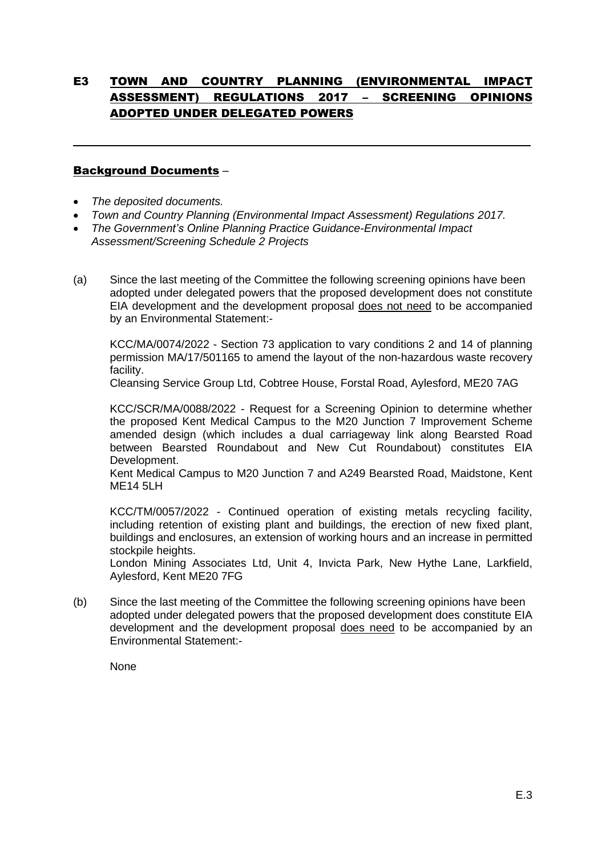# E3 TOWN AND COUNTRY PLANNING (ENVIRONMENTAL IMPACT ASSESSMENT) REGULATIONS 2017 – SCREENING OPINIONS ADOPTED UNDER DELEGATED POWERS

 $\overline{a}$ 

### Background Documents –

- *The deposited documents.*
- *Town and Country Planning (Environmental Impact Assessment) Regulations 2017.*
- *The Government's Online Planning Practice Guidance-Environmental Impact Assessment/Screening Schedule 2 Projects*
- (a) Since the last meeting of the Committee the following screening opinions have been adopted under delegated powers that the proposed development does not constitute EIA development and the development proposal does not need to be accompanied by an Environmental Statement:-

KCC/MA/0074/2022 - Section 73 application to vary conditions 2 and 14 of planning permission MA/17/501165 to amend the layout of the non-hazardous waste recovery facility.

Cleansing Service Group Ltd, Cobtree House, Forstal Road, Aylesford, ME20 7AG

KCC/SCR/MA/0088/2022 - Request for a Screening Opinion to determine whether the proposed Kent Medical Campus to the M20 Junction 7 Improvement Scheme amended design (which includes a dual carriageway link along Bearsted Road between Bearsted Roundabout and New Cut Roundabout) constitutes EIA Development.

Kent Medical Campus to M20 Junction 7 and A249 Bearsted Road, Maidstone, Kent MF14 5LH

KCC/TM/0057/2022 - Continued operation of existing metals recycling facility, including retention of existing plant and buildings, the erection of new fixed plant, buildings and enclosures, an extension of working hours and an increase in permitted stockpile heights.

London Mining Associates Ltd, Unit 4, Invicta Park, New Hythe Lane, Larkfield, Aylesford, Kent ME20 7FG

(b) Since the last meeting of the Committee the following screening opinions have been adopted under delegated powers that the proposed development does constitute EIA development and the development proposal does need to be accompanied by an Environmental Statement:-

None